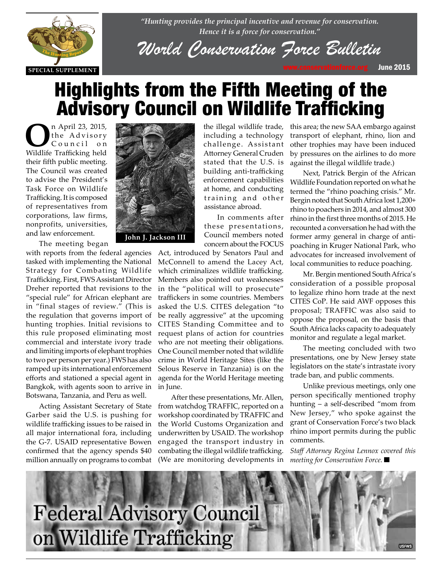

*"Hunting provides the principal incentive and revenue for conservation. Hence it is a force for conservation."*

*World Conservation [Force Bullet](www.conservationforce.org)in*

# Highlights from the Fifth Meeting of the Advisory Council on Wildlife Trafficking

n April 23, 2015,<br>the Advisory<br>Council on the Advisory  $C$  o u n c i  $l$ Wildlife Trafficking held their fifth public meeting. The Council was created to advise the President's Task Force on Wildlife Trafficking. It is composed of representatives from corporations, law firms, nonprofits, universities, and law enforcement.



Ine meeting began<br>with reports from the federal agencies<br>the Matismal tasked with implementing the National Strategy for Combating Wildlife Trafficking. First, FWS Assistant Director I ratticking. First, FWS Assistant Director<br>Dreher reported that revisions to the "special rule" for African elephant are in "final stages of review." (This is the regulation that governs import of hunting trophies. Initial revisions to this rule proposed eliminating most commercial and interstate ivory trade and limiting imports of elephant trophies to two per person per year.) FWS has also ramped up its international enforcement efforts and stationed a special agent in Bangkok, with agents soon to arrive in Botswana, Tanzania, and Peru as well.

> Acting Assistant Secretary of State Garber said the U.S. is pushing for wildlife trafficking issues to be raised in all major international fora, including the G-7. USAID representative Bowen confirmed that the agency spends \$40 million annually on programs to combat



**John J. Jackson III**

the illegal wildlife trade, including a technology challenge. Assistant Attorney General Cruden stated that the U.S. is building anti-trafficking enforcement capabilities at home, and conducting training and other assistance abroad.

In comments after these presentations, Council members noted concern about the FOCUS

Act, introduced by Senators Paul and McConnell to amend the Lacey Act, which criminalizes wildlife trafficking. Members also pointed out weaknesses in the "political will to prosecute" traffickers in some countries. Members asked the U.S. CITES delegation "to be really aggressive" at the upcoming CITES Standing Committee and to request plans of action for countries who are not meeting their obligations. One Council member noted that wildlife crime in World Heritage Sites (like the Selous Reserve in Tanzania) is on the agenda for the World Heritage meeting in June.

After these presentations, Mr. Allen, from watchdog TRAFFIC, reported on a workshop coordinated by TRAFFIC and the World Customs Organization and underwritten by USAID. The workshop engaged the transport industry in combating the illegal wildlife trafficking. (We are monitoring developments in this area; the new SAA embargo against transport of elephant, rhino, lion and other trophies may have been induced by pressures on the airlines to do more against the illegal wildlife trade.)

Next, Patrick Bergin of the African Wildlife Foundation reported on what he termed the "rhino poaching crisis." Mr. Bergin noted that South Africa lost 1,200+ rhino to poachers in 2014, and almost 300 rhino in the first three months of 2015. He recounted a conversation he had with the former army general in charge of antipoaching in Kruger National Park, who advocates for increased involvement of local communities to reduce poaching.

Mr. Bergin mentioned South Africa's consideration of a possible proposal to legalize rhino horn trade at the next CITES CoP. He said AWF opposes this proposal; TRAFFIC was also said to oppose the proposal, on the basis that South Africa lacks capacity to adequately monitor and regulate a legal market.

The meeting concluded with two presentations, one by New Jersey state legislators on the state's intrastate ivory trade ban, and public comments.

Unlike previous meetings, only one person specifically mentioned trophy hunting – a self-described "mom from New Jersey," who spoke against the grant of Conservation Force's two black rhino import permits during the public comments.

*Staff Attorney Regina Lennox covered this meeting for Conservation Force.* 

**Federal Advisory Council** on Wildlife Trafficking **USFWS**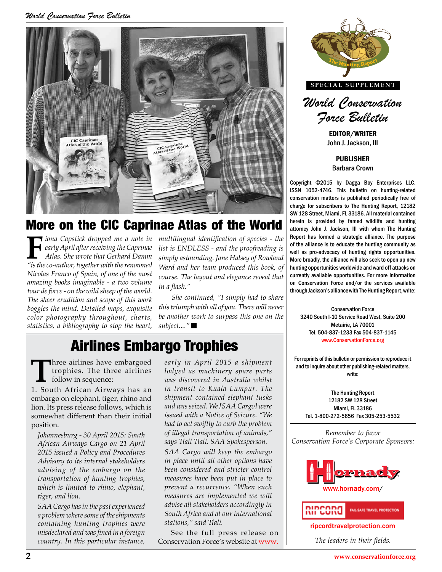*World Conservation Force Bulletin*



## More on the CIC Caprinae Atlas of the World

**F***iona Capstick dropped me a note in early April after receiving the Caprinae Atlas. She wrote that Gerhard Damm "is the co-author, together with the renowned Nicolas Franco of Spain, of one of the most amazing books imaginable - a two volume tour de force - on the wild sheep of the world. The sheer erudition and scope of this work boggles the mind. Detailed maps, exquisite color photography throughout, charts, statistics, a bibliography to stop the heart,* 

*multilingual identification of species - the list is ENDLESS - and the proofreading is simply astounding. Jane Halsey of Rowland Ward and her team produced this book, of course. The layout and elegance reveal that in a flash."* 

rd, "I simply had to share **through Jackson's alliance with The Hunting Report, write:**<br>all of you. There will never *She continued, "I simply had to share this triumph with all of you. There will never be another work to surpass this one on the subject...."* 

# Airlines Embargo Trophies

**T**hree airlines have embargoed trophies. The three airlines follow in sequence:

1. South African Airways has an embargo on elephant, tiger, rhino and lion. Its press release follows, which is somewhat different than their initial position.

*Johannesburg - 30 April 2015: South African Airways Cargo on 21 April 2015 issued a Policy and Procedures Advisory to its internal stakeholders advising of the embargo on the transportation of hunting trophies, which is limited to rhino, elephant, tiger, and lion.* 

*SAA Cargo has in the past experienced a problem where some of the shipments containing hunting trophies were misdeclared and was fined in a foreign country. In this particular instance,* 

*early in April 2015 a shipment lodged as machinery spare parts was discovered in Australia whilst in transit to Kuala Lumpur. The shipment contained elephant tusks and was seized. We [SAA Cargo] were issued with a Notice of Seizure. "We had to act swiftly to curb the problem of illegal transportation of animals," says Tlali Tlali, SAA Spokesperson.* 

*SAA Cargo will keep the embargo in place until all other options have been considered and stricter control measures have been put in place to prevent a recurrence. "When such measures are implemented we will advise all stakeholders accordingly in South Africa and at our international stations," said Tlali.*

See the full press release on Conservation Force's website at [www.](www.conservationforce.org/news.html)



**SPECIAL SUPPLEMENT**



EDITOR/WRITER John J. Jackson, III

PUBLISHER Barbara Crown

Copyright ©2015 by Dagga Boy Enterprises LLC. ISSN 1052-4746. This bulletin on hunting-related conservation matters is published periodically free of charge for subscribers to The Hunting Report, 12182 SW 128 Street, Miami, FL 33186. All material contained herein is provided by famed wildlife and hunting attorney John J. Jackson, III with whom The Hunting Report has formed a strategic alliance. The purpose of the alliance is to educate the hunting community as well as pro-advocacy of hunting rights opportunities. More broadly, the alliance will also seek to open up new hunting opportunities worldwide and ward off attacks on currently available opportunities. For more information on Conservation Force and/or the services available

Conservation Force 3240 South I-10 Service Road West, Suite 200 Metairie, LA 70001 Tel. 504-837-1233 Fax 504-837-1145 www.ConservationForce.org Tel. 504-837-1233 Fax 504-837-1145<br> **Thiles** www.ConservationForce.org<br> **Philes** 

> For reprints of this bulletin or permission to reproduce it and to inquire about other publishing-related matters, write:

The Hunting Report 12182 SW 128 Street Miami, FL 33186 Tel. 1-800-272-5656 Fax 305-253-5532

*Remember to favor Conservation Force's Corporate Sponsors:*





<ripcordtravelprotection.com>

*The leaders in their fields.*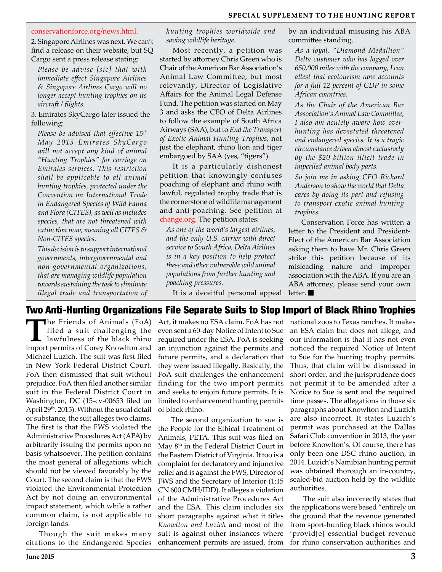#### [conservationforce.org/news.html.](www.conservationforce.org/news.html)

2. Singapore Airlines was next. We can't find a release on their website, but SQ Cargo sent a press release stating:

*Please be advise [sic] that with immediate effect Singapore Airlines & Singapore Airlines Cargo will no longer accept hunting trophies on its aircraft / flights.*

3. Emirates SkyCargo later issued the following:

*Please be advised that effective 15th May 2015 Emirates SkyCargo will not accept any kind of animal "Hunting Trophies" for carriage on Emirates services. This restriction shall be applicable to all animal hunting trophies, protected under the Convention on International Trade in Endangered Species of Wild Fauna and Flora (CITES), as well as includes species, that are not threatened with extinction now, meaning all CITES & Non-CITES species.*

*This decision is to support international governments, intergovernmental and non-governmental organizations, that are managing wildlife population towards sustaining the task to eliminate illegal trade and transportation of*  *hunting trophies worldwide and saving wildlife heritage.* 

Most recently, a petition was started by attorney Chris Green who is Chair of the American Bar Association's Animal Law Committee, but most relevantly, Director of Legislative Affairs for the Animal Legal Defense Fund. The petition was started on May 3 and asks the CEO of Delta Airlines to follow the example of South Africa Airways (SAA), but to *End the Transport of Exotic Animal Hunting Trophies,* not just the elephant, rhino lion and tiger embargoed by SAA (yes, "tigers").

It is a particularly dishonest petition that knowingly confuses poaching of elephant and rhino with lawful, regulated trophy trade that is the cornerstone of wildlife management and anti-poaching. See petition at <change.org>. The petition states:

*As one of the world's largest airlines, and the only U.S. carrier with direct service to South Africa, Delta Airlines is in a key position to help protect these and other vulnerable wild animal populations from further hunting and poaching pressures.*

It is a deceitful personal appeal

by an individual misusing his ABA committee standing.

*As a loyal, "Diamond Medallion" Delta customer who has logged over 650,000 miles with the company, I can attest that ecotourism now accounts for a full 12 percent of GDP in some African countries.* 

*As the Chair of the American Bar Association's Animal Law Committee, I also am acutely aware how overhunting has devastated threatened and endangered species. It is a tragic circumstance driven almost exclusively by the \$20 billion illicit trade in imperiled animal body parts.* 

*So join me in asking CEO Richard Anderson to show the world that Delta cares by doing its part and refusing to transport exotic animal hunting trophies.*

Conservation Force has written a letter to the President and President-Elect of the American Bar Association asking them to have Mr. Chris Green strike this petition because of its misleading nature and improper association with the ABA. If you are an ABA attorney, please send your own letter.

## Two Anti-Hunting Organizations File Separate Suits to Stop Import of Black Rhino Trophies

**T**he Friends of Animals (FoA) filed a suit challenging the lawfulness of the black rhino import permits of Corey Knowlton and Michael Luzich. The suit was first filed in New York Federal District Court. FoA then dismissed that suit without prejudice. FoA then filed another similar suit in the Federal District Court in Washington, DC (15-cv-00653 filed on April 29<sup>th</sup>, 2015). Without the usual detail or substance, the suit alleges two claims. The first is that the FWS violated the Administrative Procedures Act (APA) by arbitrarily issuing the permits upon no basis whatsoever. The petition contains the most general of allegations which should not be viewed favorably by the Court. The second claim is that the FWS violated the Environmental Protection Act by not doing an environmental impact statement, which while a rather common claim, is not applicable to foreign lands.

Though the suit makes many citations to the Endangered Species Act, it makes no ESA claim. FoA has not even sent a 60-day Notice of Intent to Sue required under the ESA. FoA is seeking an injunction against the permits and future permits, and a declaration that they were issued illegally. Basically, the FoA suit challenges the enhancement finding for the two import permits and seeks to enjoin future permits. It is limited to enhancement hunting permits of black rhino.

The second organization to sue is the People for the Ethical Treatment of Animals, PETA. This suit was filed on May 8th in the Federal District Court in the Eastern District of Virginia. It too is a complaint for declaratory and injunctive relief and is against the FWS, Director of FWS and the Secretary of Interior (1:15 CN 600 CMH/IDD). It alleges a violation of the Administrative Procedures Act and the ESA. This claim includes six short paragraphs against what it titles *Knowlton and Luzich* and most of the suit is against other instances where enhancement permits are issued, from

national zoos to Texas ranches. It makes an ESA claim but does not allege, and our information is that it has not even noticed the required Notice of Intent to Sue for the hunting trophy permits. Thus, that claim will be dismissed in short order, and the jurisprudence does not permit it to be amended after a Notice to Sue is sent and the required time passes. The allegations in those six paragraphs about Knowlton and Luzich are also incorrect. It states Luzich's permit was purchased at the Dallas Safari Club convention in 2013, the year before Knowlton's. Of course, there has only been one DSC rhino auction, in 2014. Luzich's Namibian hunting permit was obtained thorough an in-country, sealed-bid auction held by the wildlife authorities.

The suit also incorrectly states that the applications were based "entirely on the ground that the revenue generated from sport-hunting black rhinos would 'provid[e] essential budget revenue for rhino conservation authorities and